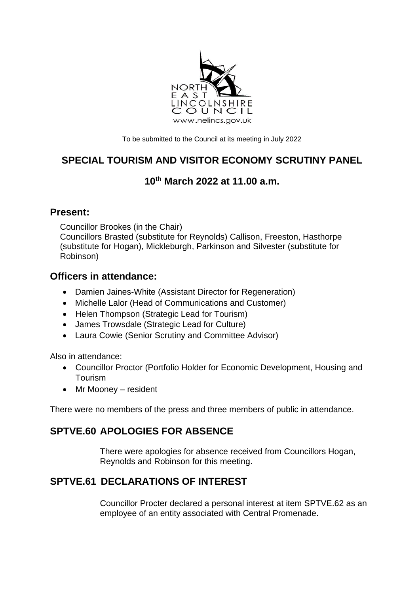

To be submitted to the Council at its meeting in July 2022

# **SPECIAL TOURISM AND VISITOR ECONOMY SCRUTINY PANEL**

### **10th March 2022 at 11.00 a.m.**

#### **Present:**

Councillor Brookes (in the Chair) Councillors Brasted (substitute for Reynolds) Callison, Freeston, Hasthorpe (substitute for Hogan), Mickleburgh, Parkinson and Silvester (substitute for Robinson)

#### **Officers in attendance:**

- Damien Jaines-White (Assistant Director for Regeneration)
- Michelle Lalor (Head of Communications and Customer)
- Helen Thompson (Strategic Lead for Tourism)
- James Trowsdale (Strategic Lead for Culture)
- Laura Cowie (Senior Scrutiny and Committee Advisor)

Also in attendance:

- Councillor Proctor (Portfolio Holder for Economic Development, Housing and Tourism
- Mr Mooney resident

There were no members of the press and three members of public in attendance.

## **SPTVE.60 APOLOGIES FOR ABSENCE**

There were apologies for absence received from Councillors Hogan, Reynolds and Robinson for this meeting.

## **SPTVE.61 DECLARATIONS OF INTEREST**

Councillor Procter declared a personal interest at item SPTVE.62 as an employee of an entity associated with Central Promenade.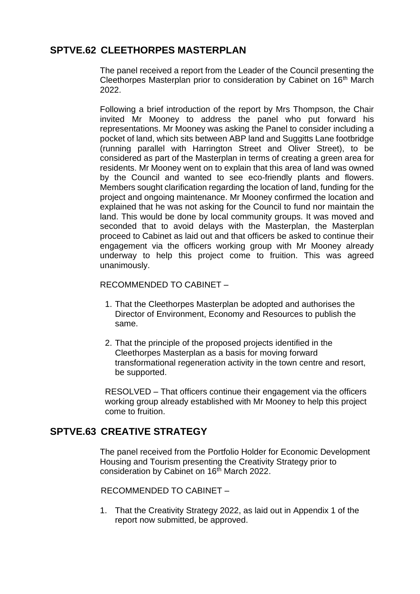### **SPTVE.62 CLEETHORPES MASTERPLAN**

The panel received a report from the Leader of the Council presenting the Cleethorpes Masterplan prior to consideration by Cabinet on 16th March 2022.

Following a brief introduction of the report by Mrs Thompson, the Chair invited Mr Mooney to address the panel who put forward his representations. Mr Mooney was asking the Panel to consider including a pocket of land, which sits between ABP land and Suggitts Lane footbridge (running parallel with Harrington Street and Oliver Street), to be considered as part of the Masterplan in terms of creating a green area for residents. Mr Mooney went on to explain that this area of land was owned by the Council and wanted to see eco-friendly plants and flowers. Members sought clarification regarding the location of land, funding for the project and ongoing maintenance. Mr Mooney confirmed the location and explained that he was not asking for the Council to fund nor maintain the land. This would be done by local community groups. It was moved and seconded that to avoid delays with the Masterplan, the Masterplan proceed to Cabinet as laid out and that officers be asked to continue their engagement via the officers working group with Mr Mooney already underway to help this project come to fruition. This was agreed unanimously.

RECOMMENDED TO CABINET –

- 1. That the Cleethorpes Masterplan be adopted and authorises the Director of Environment, Economy and Resources to publish the same.
- 2. That the principle of the proposed projects identified in the Cleethorpes Masterplan as a basis for moving forward transformational regeneration activity in the town centre and resort, be supported.

RESOLVED – That officers continue their engagement via the officers working group already established with Mr Mooney to help this project come to fruition.

#### **SPTVE.63 CREATIVE STRATEGY**

The panel received from the Portfolio Holder for Economic Development Housing and Tourism presenting the Creativity Strategy prior to consideration by Cabinet on 16<sup>th</sup> March 2022.

RECOMMENDED TO CABINET –

1. That the Creativity Strategy 2022, as laid out in Appendix 1 of the report now submitted, be approved.